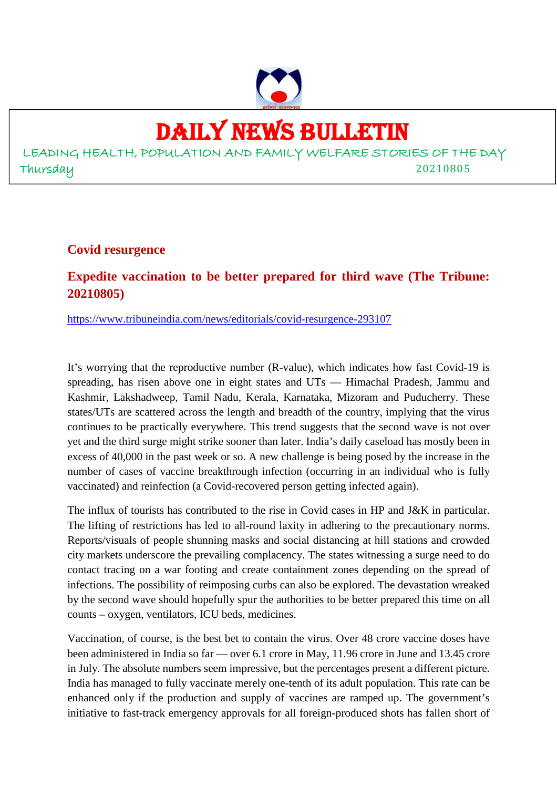

# DAILY NEWS BULLETIN

LEADING HEALTH, POPULATION AND FAMILY WELFARE STORIES OF THE DAY Thursday 20210805

**Covid resurgence**

## **Expedite vaccination to be better prepared for third wave (The Tribune: 20210805)**

https://www.tribuneindia.com/news/editorials/covid-resurgence-293107

It's worrying that the reproductive number (R-value), which indicates how fast Covid-19 is spreading, has risen above one in eight states and UTs — Himachal Pradesh, Jammu and Kashmir, Lakshadweep, Tamil Nadu, Kerala, Karnataka, Mizoram and Puducherry. These states/UTs are scattered across the length and breadth of the country, implying that the virus continues to be practically everywhere. This trend suggests that the second wave is not over yet and the third surge might strike sooner than later. India's daily caseload has mostly been in excess of 40,000 in the past week or so. A new challenge is being posed by the increase in the number of cases of vaccine breakthrough infection (occurring in an individual who is fully vaccinated) and reinfection (a Covid-recovered person getting infected again).

The influx of tourists has contributed to the rise in Covid cases in HP and J&K in particular. The lifting of restrictions has led to all-round laxity in adhering to the precautionary norms. Reports/visuals of people shunning masks and social distancing at hill stations and crowded city markets underscore the prevailing complacency. The states witnessing a surge need to do contact tracing on a war footing and create containment zones depending on the spread of infections. The possibility of reimposing curbs can also be explored. The devastation wreaked by the second wave should hopefully spur the authorities to be better prepared this time on all counts – oxygen, ventilators, ICU beds, medicines.

Vaccination, of course, is the best bet to contain the virus. Over 48 crore vaccine doses have been administered in India so far — over 6.1 crore in May, 11.96 crore in June and 13.45 crore in July. The absolute numbers seem impressive, but the percentages present a different picture. India has managed to fully vaccinate merely one-tenth of its adult population. This rate can be enhanced only if the production and supply of vaccines are ramped up. The government's initiative to fast-track emergency approvals for all foreign-produced shots has fallen short of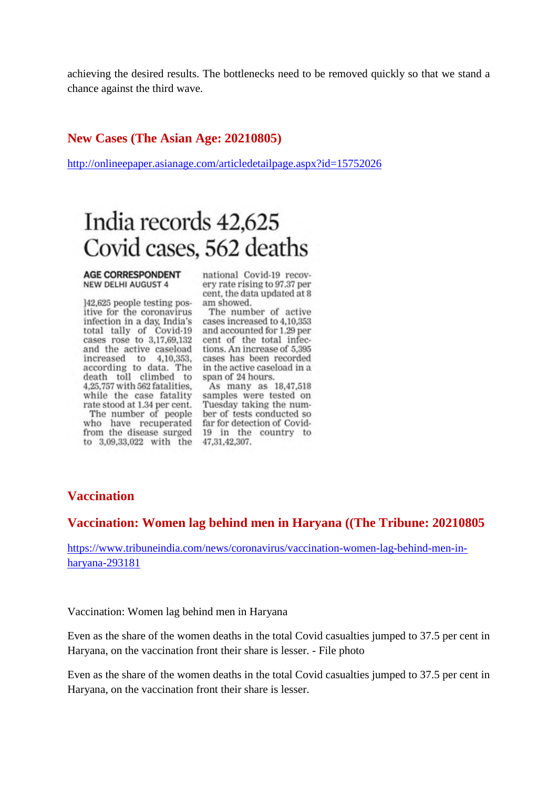achieving the desired results. The bottlenecks need to be removed quickly so that we stand a chance against the third wave.

#### **New Cases (The Asian Age: 20210805)**

http://onlineepaper.asianage.com/articledetailpage.aspx?id=15752026

# India records 42,625 Covid cases, 562 deaths

#### **AGE CORRESPONDENT NEW DELHI AUGUST 4**

]42,625 people testing positive for the coronavirus infection in a day, India's total tally of Covid-19<br>cases rose to 3,17,69,132 and the active caseload tions. An increase of 5,395 increased to 4,10,353, according to data. The in the active case<br>death toll climbed to span of 24 hours. 4,25,757 with 562 fatalities. while the case fatality rate stood at 1.34 per cent. Tuesday taking the num-<br>The number of people ber of tests conducted so who have recuperated far for detection of Covidfrom the disease surged 19 in the country to

national Covid-19 recovery rate rising to 97.37 per cent, the data updated at 8 am showed.

The number of active cases increased to 4,10,353 and accounted for 1.29 per cent of the total infeccases has been recorded in the active caseload in a

As many as 18,47,518 samples were tested on to 3,09,33,022 with the 47,31,42,307.

#### **Vaccination**

#### **Vaccination: Women lag behind men in Haryana ((The Tribune: 20210805**

https://www.tribuneindia.com/news/coronavirus/vaccination-women-lag-behind-men-inharyana-293181

Vaccination: Women lag behind men in Haryana

Even as the share of the women deaths in the total Covid casualties jumped to 37.5 per cent in Haryana, on the vaccination front their share is lesser. - File photo

Even as the share of the women deaths in the total Covid casualties jumped to 37.5 per cent in Haryana, on the vaccination front their share is lesser.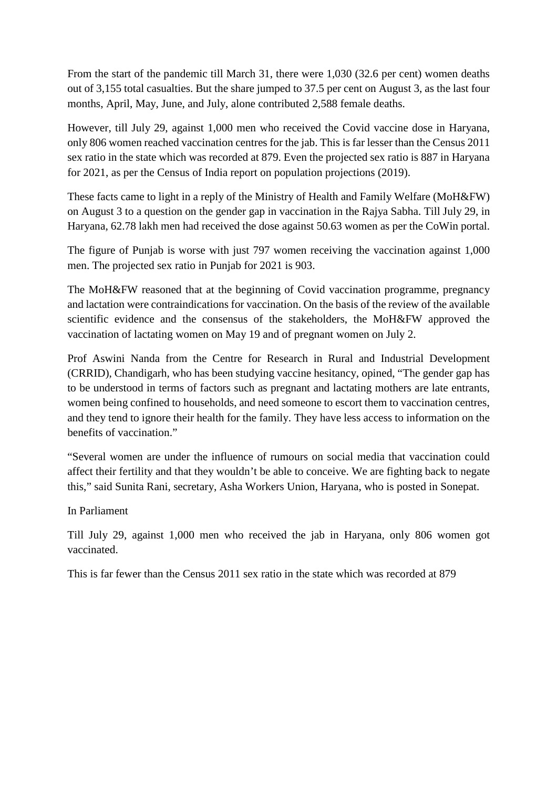From the start of the pandemic till March 31, there were 1,030 (32.6 per cent) women deaths out of 3,155 total casualties. But the share jumped to 37.5 per cent on August 3, as the last four months, April, May, June, and July, alone contributed 2,588 female deaths.

However, till July 29, against 1,000 men who received the Covid vaccine dose in Haryana, only 806 women reached vaccination centres for the jab. This is far lesser than the Census 2011 sex ratio in the state which was recorded at 879. Even the projected sex ratio is 887 in Haryana for 2021, as per the Census of India report on population projections (2019).

These facts came to light in a reply of the Ministry of Health and Family Welfare (MoH&FW) on August 3 to a question on the gender gap in vaccination in the Rajya Sabha. Till July 29, in Haryana, 62.78 lakh men had received the dose against 50.63 women as per the CoWin portal.

The figure of Punjab is worse with just 797 women receiving the vaccination against 1,000 men. The projected sex ratio in Punjab for 2021 is 903.

The MoH&FW reasoned that at the beginning of Covid vaccination programme, pregnancy and lactation were contraindications for vaccination. On the basis of the review of the available scientific evidence and the consensus of the stakeholders, the MoH&FW approved the vaccination of lactating women on May 19 and of pregnant women on July 2.

Prof Aswini Nanda from the Centre for Research in Rural and Industrial Development (CRRID), Chandigarh, who has been studying vaccine hesitancy, opined, "The gender gap has to be understood in terms of factors such as pregnant and lactating mothers are late entrants, women being confined to households, and need someone to escort them to vaccination centres, and they tend to ignore their health for the family. They have less access to information on the benefits of vaccination."

"Several women are under the influence of rumours on social media that vaccination could affect their fertility and that they wouldn't be able to conceive. We are fighting back to negate this," said Sunita Rani, secretary, Asha Workers Union, Haryana, who is posted in Sonepat.

In Parliament

Till July 29, against 1,000 men who received the jab in Haryana, only 806 women got vaccinated.

This is far fewer than the Census 2011 sex ratio in the state which was recorded at 879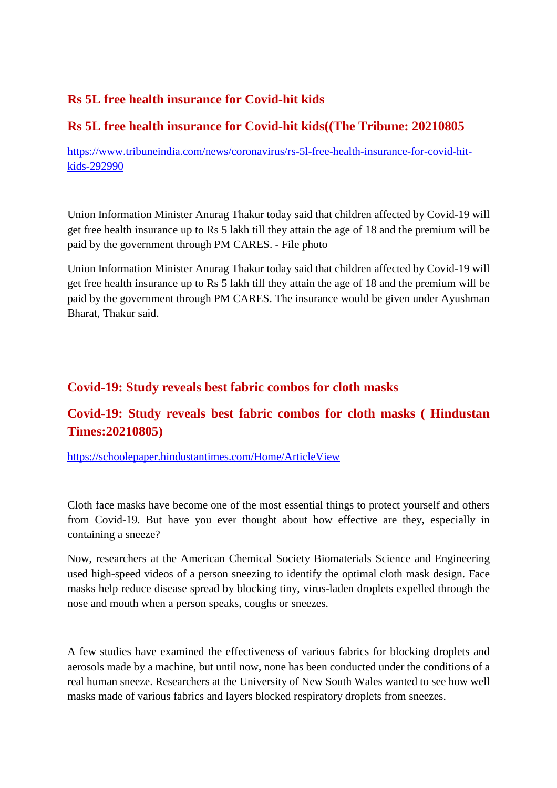## **Rs 5L free health insurance for Covid-hit kids**

## **Rs 5L free health insurance for Covid-hit kids((The Tribune: 20210805**

https://www.tribuneindia.com/news/coronavirus/rs-5l-free-health-insurance-for-covid-hitkids-292990

Union Information Minister Anurag Thakur today said that children affected by Covid-19 will get free health insurance up to Rs 5 lakh till they attain the age of 18 and the premium will be paid by the government through PM CARES. - File photo

Union Information Minister Anurag Thakur today said that children affected by Covid-19 will get free health insurance up to Rs 5 lakh till they attain the age of 18 and the premium will be paid by the government through PM CARES. The insurance would be given under Ayushman Bharat, Thakur said.

## **Covid-19: Study reveals best fabric combos for cloth masks**

## **Covid-19: Study reveals best fabric combos for cloth masks ( Hindustan Times:20210805)**

https://schoolepaper.hindustantimes.com/Home/ArticleView

Cloth face masks have become one of the most essential things to protect yourself and others from Covid-19. But have you ever thought about how effective are they, especially in containing a sneeze?

Now, researchers at the American Chemical Society Biomaterials Science and Engineering used high-speed videos of a person sneezing to identify the optimal cloth mask design. Face masks help reduce disease spread by blocking tiny, virus-laden droplets expelled through the nose and mouth when a person speaks, coughs or sneezes.

A few studies have examined the effectiveness of various fabrics for blocking droplets and aerosols made by a machine, but until now, none has been conducted under the conditions of a real human sneeze. Researchers at the University of New South Wales wanted to see how well masks made of various fabrics and layers blocked respiratory droplets from sneezes.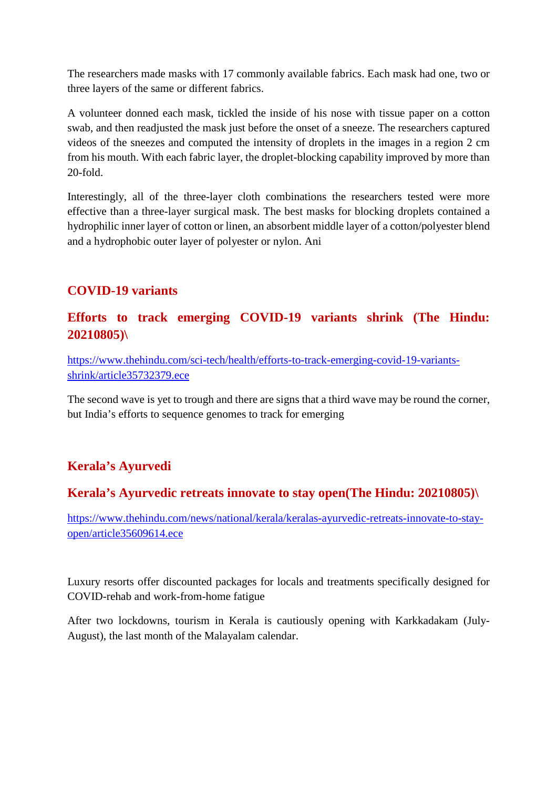The researchers made masks with 17 commonly available fabrics. Each mask had one, two or three layers of the same or different fabrics.

A volunteer donned each mask, tickled the inside of his nose with tissue paper on a cotton swab, and then readjusted the mask just before the onset of a sneeze. The researchers captured videos of the sneezes and computed the intensity of droplets in the images in a region 2 cm from his mouth. With each fabric layer, the droplet-blocking capability improved by more than 20-fold.

Interestingly, all of the three-layer cloth combinations the researchers tested were more effective than a three-layer surgical mask. The best masks for blocking droplets contained a hydrophilic inner layer of cotton or linen, an absorbent middle layer of a cotton/polyester blend and a hydrophobic outer layer of polyester or nylon. Ani

## **COVID-19 variants**

## **Efforts to track emerging COVID-19 variants shrink (The Hindu: 20210805)\**

https://www.thehindu.com/sci-tech/health/efforts-to-track-emerging-covid-19-variantsshrink/article35732379.ece

The second wave is yet to trough and there are signs that a third wave may be round the corner, but India's efforts to sequence genomes to track for emerging

## **Kerala's Ayurvedi**

## **Kerala's Ayurvedic retreats innovate to stay open(The Hindu: 20210805)\**

https://www.thehindu.com/news/national/kerala/keralas-ayurvedic-retreats-innovate-to-stayopen/article35609614.ece

Luxury resorts offer discounted packages for locals and treatments specifically designed for COVID-rehab and work-from-home fatigue

After two lockdowns, tourism in Kerala is cautiously opening with Karkkadakam (July-August), the last month of the Malayalam calendar.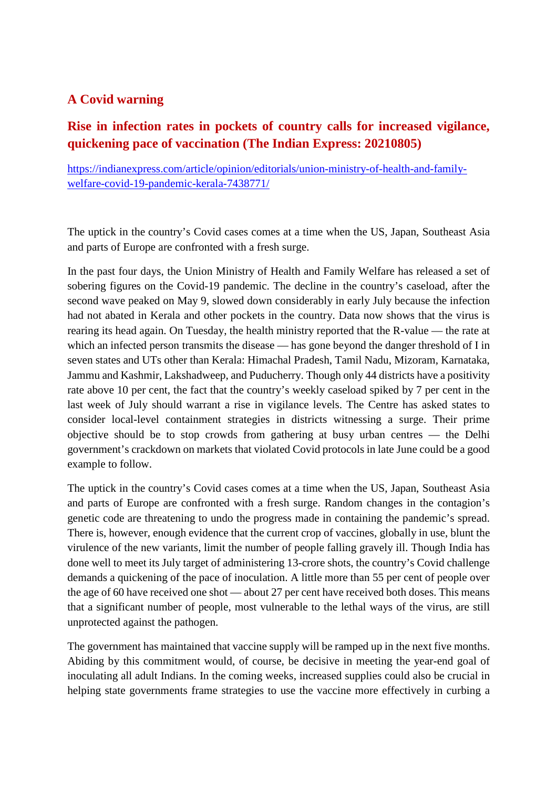## **A Covid warning**

## **Rise in infection rates in pockets of country calls for increased vigilance, quickening pace of vaccination (The Indian Express: 20210805)**

https://indianexpress.com/article/opinion/editorials/union-ministry-of-health-and-familywelfare-covid-19-pandemic-kerala-7438771/

The uptick in the country's Covid cases comes at a time when the US, Japan, Southeast Asia and parts of Europe are confronted with a fresh surge.

In the past four days, the Union Ministry of Health and Family Welfare has released a set of sobering figures on the Covid-19 pandemic. The decline in the country's caseload, after the second wave peaked on May 9, slowed down considerably in early July because the infection had not abated in Kerala and other pockets in the country. Data now shows that the virus is rearing its head again. On Tuesday, the health ministry reported that the R-value — the rate at which an infected person transmits the disease — has gone beyond the danger threshold of I in seven states and UTs other than Kerala: Himachal Pradesh, Tamil Nadu, Mizoram, Karnataka, Jammu and Kashmir, Lakshadweep, and Puducherry. Though only 44 districts have a positivity rate above 10 per cent, the fact that the country's weekly caseload spiked by 7 per cent in the last week of July should warrant a rise in vigilance levels. The Centre has asked states to consider local-level containment strategies in districts witnessing a surge. Their prime objective should be to stop crowds from gathering at busy urban centres — the Delhi government's crackdown on markets that violated Covid protocols in late June could be a good example to follow.

The uptick in the country's Covid cases comes at a time when the US, Japan, Southeast Asia and parts of Europe are confronted with a fresh surge. Random changes in the contagion's genetic code are threatening to undo the progress made in containing the pandemic's spread. There is, however, enough evidence that the current crop of vaccines, globally in use, blunt the virulence of the new variants, limit the number of people falling gravely ill. Though India has done well to meet its July target of administering 13-crore shots, the country's Covid challenge demands a quickening of the pace of inoculation. A little more than 55 per cent of people over the age of 60 have received one shot — about 27 per cent have received both doses. This means that a significant number of people, most vulnerable to the lethal ways of the virus, are still unprotected against the pathogen.

The government has maintained that vaccine supply will be ramped up in the next five months. Abiding by this commitment would, of course, be decisive in meeting the year-end goal of inoculating all adult Indians. In the coming weeks, increased supplies could also be crucial in helping state governments frame strategies to use the vaccine more effectively in curbing a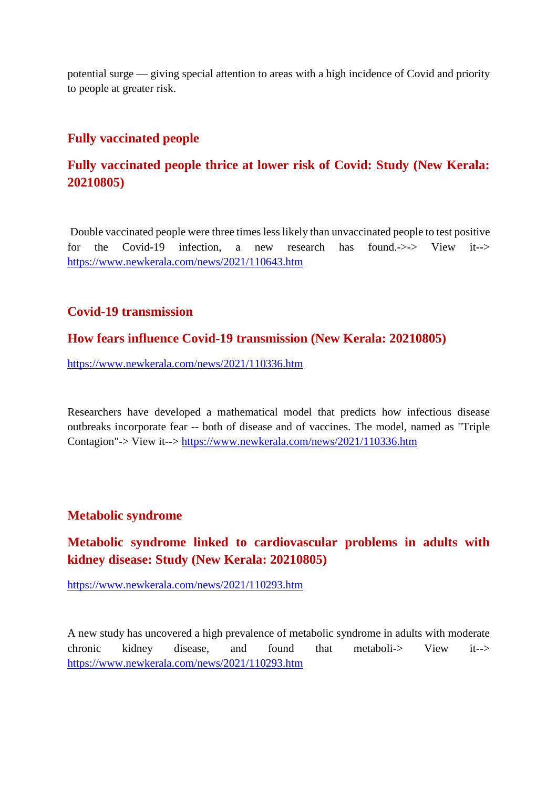potential surge — giving special attention to areas with a high incidence of Covid and priority to people at greater risk.

#### **Fully vaccinated people**

## **Fully vaccinated people thrice at lower risk of Covid: Study (New Kerala: 20210805)**

Double vaccinated people were three times less likely than unvaccinated people to test positive for the Covid-19 infection, a new research has found.->-> View it--> https://www.newkerala.com/news/2021/110643.htm

#### **Covid-19 transmission**

#### **How fears influence Covid-19 transmission (New Kerala: 20210805)**

https://www.newkerala.com/news/2021/110336.htm

Researchers have developed a mathematical model that predicts how infectious disease outbreaks incorporate fear -- both of disease and of vaccines. The model, named as "Triple Contagion"-> View it--> https://www.newkerala.com/news/2021/110336.htm

#### **Metabolic syndrome**

## **Metabolic syndrome linked to cardiovascular problems in adults with kidney disease: Study (New Kerala: 20210805)**

https://www.newkerala.com/news/2021/110293.htm

A new study has uncovered a high prevalence of metabolic syndrome in adults with moderate chronic kidney disease, and found that metaboli-> View it--> https://www.newkerala.com/news/2021/110293.htm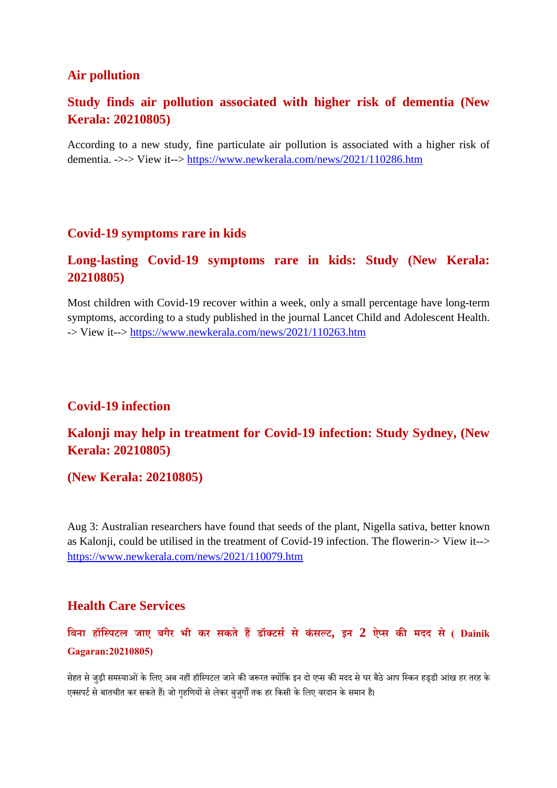#### **Air pollution**

#### **Study finds air pollution associated with higher risk of dementia (New Kerala: 20210805)**

According to a new study, fine particulate air pollution is associated with a higher risk of dementia. ->-> View it--> https://www.newkerala.com/news/2021/110286.htm

#### **Covid-19 symptoms rare in kids**

#### **Long-lasting Covid-19 symptoms rare in kids: Study (New Kerala: 20210805)**

Most children with Covid-19 recover within a week, only a small percentage have long-term symptoms, according to a study published in the journal Lancet Child and Adolescent Health. -> View it--> https://www.newkerala.com/news/2021/110263.htm

#### **Covid-19 infection**

## **Kalonji may help in treatment for Covid-19 infection: Study Sydney, (New Kerala: 20210805)**

#### **(New Kerala: 20210805)**

Aug 3: Australian researchers have found that seeds of the plant, Nigella sativa, better known as Kalonji, could be utilised in the treatment of Covid-19 infection. The flowerin-> View it--> https://www.newkerala.com/news/2021/110079.htm

#### **Health Care Services**

## **िबना हॉिपटल जाए बगैर भी कर सकते हडॉटससे कंसट, इन 2 ऐस कमदद से ( Dainik Gagaran:20210805)**

सेहत से जुड़ी समस्याओं के लिए अब नहीं हॉस्पिटल जाने की जरूरत क्योंकि इन दो एप्स की मदद से घर बैठे आप स्किन हड्डी आंख हर तरह के एक्सपर्ट से बातचीत कर सकते हैं। जो गहणियों से लेकर बुजुर्गों तक हर किसी के लिए वरदान के समान है।